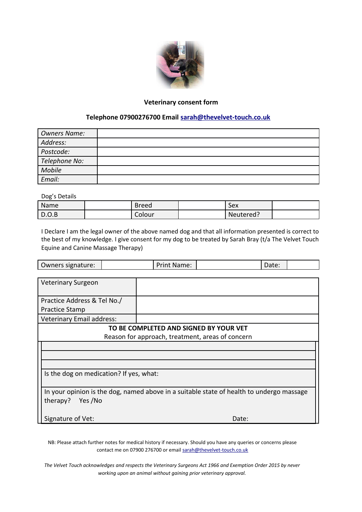

## **Veterinary consent form**

## **Telephone 07900276700 Email [sarah@thevelvet-touch.co.uk](mailto:sarah@thevelvet-touch.co.uk)**

| <b>Owners Name:</b> |  |
|---------------------|--|
| Address:            |  |
| Postcode:           |  |
| Telephone No:       |  |
| Mobile              |  |
| Email:              |  |

Dog's Details

| Name          | <b>Breed</b> | Sex       |  |
|---------------|--------------|-----------|--|
| $\vert$ D.O.B | Colour       | Neutered? |  |

I Declare I am the legal owner of the above named dog and that all information presented is correct to the best of my knowledge. I give consent for my dog to be treated by Sarah Bray (t/a The Velvet Touch Equine and Canine Massage Therapy)

|                                                                                          |  | Print Name: |       | Date: |  |  |  |  |
|------------------------------------------------------------------------------------------|--|-------------|-------|-------|--|--|--|--|
|                                                                                          |  |             |       |       |  |  |  |  |
| <b>Veterinary Surgeon</b>                                                                |  |             |       |       |  |  |  |  |
|                                                                                          |  |             |       |       |  |  |  |  |
| Practice Address & Tel No./                                                              |  |             |       |       |  |  |  |  |
| Practice Stamp                                                                           |  |             |       |       |  |  |  |  |
| <b>Veterinary Email address:</b>                                                         |  |             |       |       |  |  |  |  |
| TO BE COMPLETED AND SIGNED BY YOUR VET                                                   |  |             |       |       |  |  |  |  |
| Reason for approach, treatment, areas of concern                                         |  |             |       |       |  |  |  |  |
|                                                                                          |  |             |       |       |  |  |  |  |
|                                                                                          |  |             |       |       |  |  |  |  |
|                                                                                          |  |             |       |       |  |  |  |  |
| Is the dog on medication? If yes, what:                                                  |  |             |       |       |  |  |  |  |
|                                                                                          |  |             |       |       |  |  |  |  |
| In your opinion is the dog, named above in a suitable state of health to undergo massage |  |             |       |       |  |  |  |  |
| Yes /No<br>therapy?                                                                      |  |             |       |       |  |  |  |  |
|                                                                                          |  |             |       |       |  |  |  |  |
| Signature of Vet:                                                                        |  |             | Date: |       |  |  |  |  |
|                                                                                          |  |             |       |       |  |  |  |  |

NB: Please attach further notes for medical history if necessary. Should you have any queries or concerns please contact me on 07900 276700 or email [sarah@thevelvet-touch.co.uk](mailto:sarah@thevelvet-touch.co.uk)

*The Velvet Touch acknowledges and respects the Veterinary Surgeons Act 1966 and Exemption Order 2015 by never working upon an animal without gaining prior veterinary approval.*